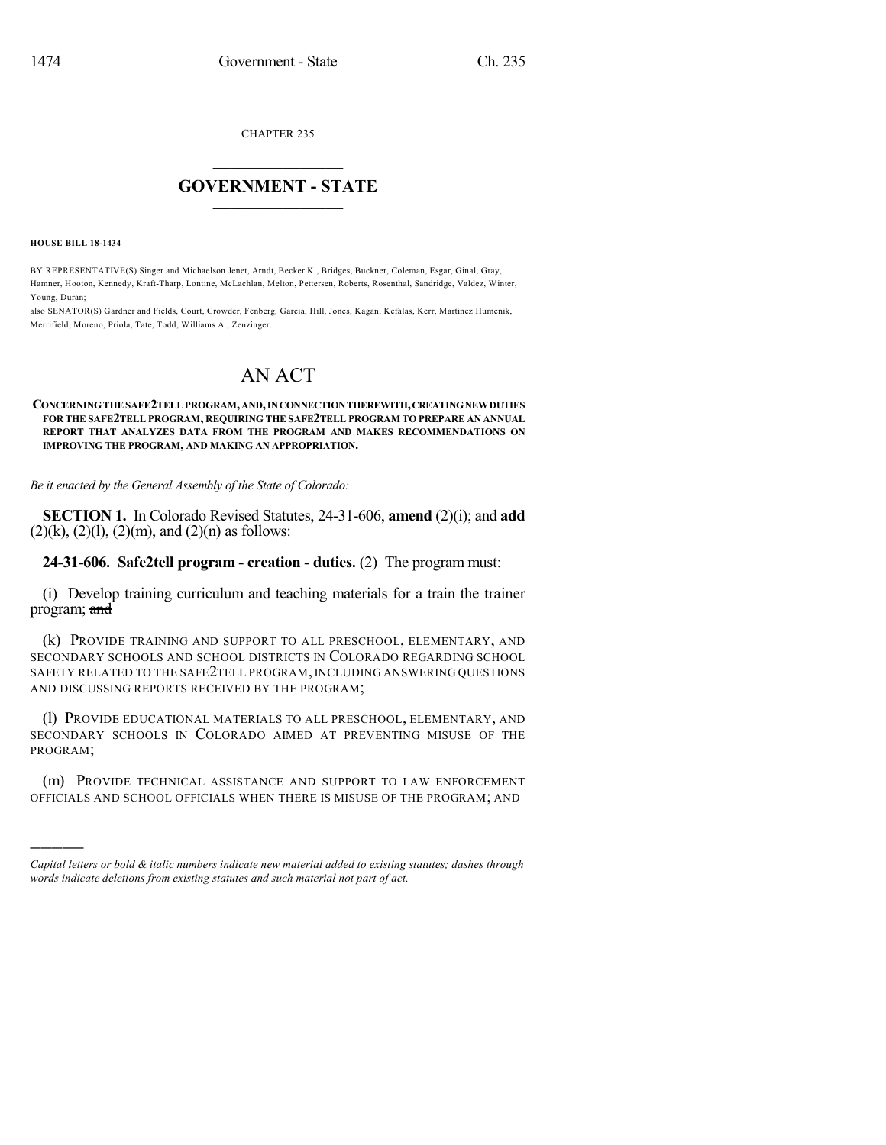CHAPTER 235

## $\mathcal{L}_\text{max}$  . The set of the set of the set of the set of the set of the set of the set of the set of the set of the set of the set of the set of the set of the set of the set of the set of the set of the set of the set **GOVERNMENT - STATE**  $\_$   $\_$

**HOUSE BILL 18-1434**

)))))

BY REPRESENTATIVE(S) Singer and Michaelson Jenet, Arndt, Becker K., Bridges, Buckner, Coleman, Esgar, Ginal, Gray, Hamner, Hooton, Kennedy, Kraft-Tharp, Lontine, McLachlan, Melton, Pettersen, Roberts, Rosenthal, Sandridge, Valdez, Winter, Young, Duran;

also SENATOR(S) Gardner and Fields, Court, Crowder, Fenberg, Garcia, Hill, Jones, Kagan, Kefalas, Kerr, Martinez Humenik, Merrifield, Moreno, Priola, Tate, Todd, Williams A., Zenzinger.

## AN ACT

## **CONCERNINGTHESAFE2TELLPROGRAM,AND,INCONNECTIONTHEREWITH,CREATINGNEWDUTIES FOR THE SAFE2TELL PROGRAM, REQUIRING THE SAFE2TELL PROGRAM TO PREPARE AN ANNUAL REPORT THAT ANALYZES DATA FROM THE PROGRAM AND MAKES RECOMMENDATIONS ON IMPROVING THE PROGRAM, AND MAKING AN APPROPRIATION.**

*Be it enacted by the General Assembly of the State of Colorado:*

**SECTION 1.** In Colorado Revised Statutes, 24-31-606, **amend** (2)(i); and **add**  $(2)(k)$ ,  $(2)(l)$ ,  $(2)(m)$ , and  $(2)(n)$  as follows:

**24-31-606. Safe2tell program - creation - duties.** (2) The program must:

(i) Develop training curriculum and teaching materials for a train the trainer program; and

(k) PROVIDE TRAINING AND SUPPORT TO ALL PRESCHOOL, ELEMENTARY, AND SECONDARY SCHOOLS AND SCHOOL DISTRICTS IN COLORADO REGARDING SCHOOL SAFETY RELATED TO THE SAFE2TELL PROGRAM, INCLUDING ANSWERING QUESTIONS AND DISCUSSING REPORTS RECEIVED BY THE PROGRAM;

(l) PROVIDE EDUCATIONAL MATERIALS TO ALL PRESCHOOL, ELEMENTARY, AND SECONDARY SCHOOLS IN COLORADO AIMED AT PREVENTING MISUSE OF THE PROGRAM;

(m) PROVIDE TECHNICAL ASSISTANCE AND SUPPORT TO LAW ENFORCEMENT OFFICIALS AND SCHOOL OFFICIALS WHEN THERE IS MISUSE OF THE PROGRAM; AND

*Capital letters or bold & italic numbers indicate new material added to existing statutes; dashes through words indicate deletions from existing statutes and such material not part of act.*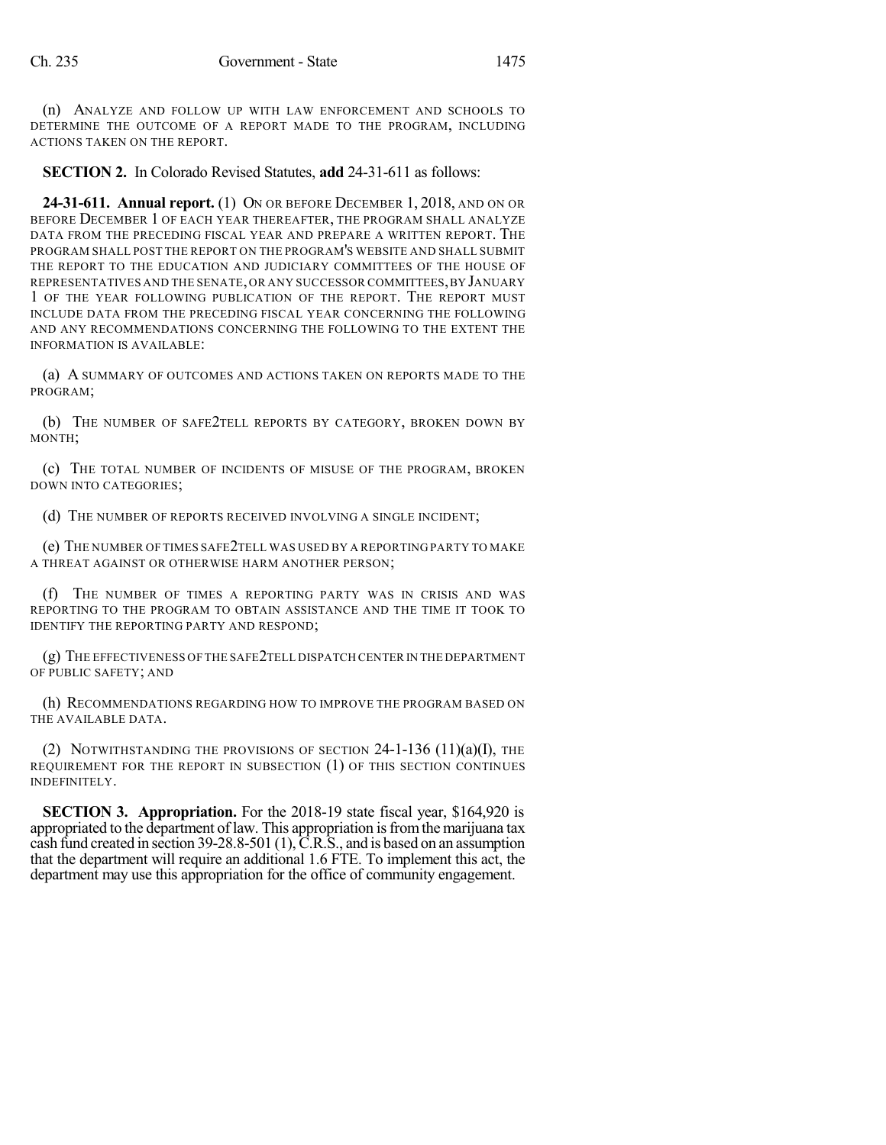(n) ANALYZE AND FOLLOW UP WITH LAW ENFORCEMENT AND SCHOOLS TO DETERMINE THE OUTCOME OF A REPORT MADE TO THE PROGRAM, INCLUDING ACTIONS TAKEN ON THE REPORT.

**SECTION 2.** In Colorado Revised Statutes, **add** 24-31-611 as follows:

**24-31-611. Annual report.** (1) ON OR BEFORE DECEMBER 1, 2018, AND ON OR BEFORE DECEMBER 1 OF EACH YEAR THEREAFTER, THE PROGRAM SHALL ANALYZE DATA FROM THE PRECEDING FISCAL YEAR AND PREPARE A WRITTEN REPORT. THE PROGRAM SHALL POST THE REPORT ON THE PROGRAM'S WEBSITE AND SHALL SUBMIT THE REPORT TO THE EDUCATION AND JUDICIARY COMMITTEES OF THE HOUSE OF REPRESENTATIVES AND THE SENATE,OR ANY SUCCESSOR COMMITTEES,BY JANUARY 1 OF THE YEAR FOLLOWING PUBLICATION OF THE REPORT. THE REPORT MUST INCLUDE DATA FROM THE PRECEDING FISCAL YEAR CONCERNING THE FOLLOWING AND ANY RECOMMENDATIONS CONCERNING THE FOLLOWING TO THE EXTENT THE INFORMATION IS AVAILABLE:

(a) A SUMMARY OF OUTCOMES AND ACTIONS TAKEN ON REPORTS MADE TO THE PROGRAM;

(b) THE NUMBER OF SAFE2TELL REPORTS BY CATEGORY, BROKEN DOWN BY MONTH;

(c) THE TOTAL NUMBER OF INCIDENTS OF MISUSE OF THE PROGRAM, BROKEN DOWN INTO CATEGORIES;

(d) THE NUMBER OF REPORTS RECEIVED INVOLVING A SINGLE INCIDENT;

(e) THE NUMBER OF TIMES SAFE2TELL WAS USED BY A REPORTING PARTY TO MAKE A THREAT AGAINST OR OTHERWISE HARM ANOTHER PERSON;

(f) THE NUMBER OF TIMES A REPORTING PARTY WAS IN CRISIS AND WAS REPORTING TO THE PROGRAM TO OBTAIN ASSISTANCE AND THE TIME IT TOOK TO IDENTIFY THE REPORTING PARTY AND RESPOND;

(g) THE EFFECTIVENESS OF THE SAFE2TELL DISPATCH CENTER IN THE DEPARTMENT OF PUBLIC SAFETY; AND

(h) RECOMMENDATIONS REGARDING HOW TO IMPROVE THE PROGRAM BASED ON THE AVAILABLE DATA.

(2) NOTWITHSTANDING THE PROVISIONS OF SECTION  $24$ -1-136  $(11)(a)(I)$ , THE REQUIREMENT FOR THE REPORT IN SUBSECTION (1) OF THIS SECTION CONTINUES INDEFINITELY.

**SECTION 3. Appropriation.** For the 2018-19 state fiscal year, \$164,920 is appropriated to the department of law. This appropriation is from the marijuana tax cash fund created in section 39-28.8-501 (1),  $\overline{C}$ .R.S., and is based on an assumption that the department will require an additional 1.6 FTE. To implement this act, the department may use this appropriation for the office of community engagement.